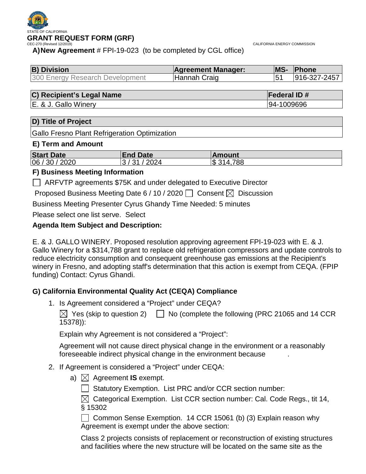

CALIFORNIA ENERGY COMMISSION

**A)New Agreement** # FPI-19-023 (to be completed by CGL office)

| <b>B</b> ) Division             | <b>Agreement Manager:</b> | <b>IMS-</b> | <b>Phone</b> |
|---------------------------------|---------------------------|-------------|--------------|
| 300 Energy Research Development | <sup>I</sup> Hannah Craig |             | 916-327-2457 |

## **C) Recipient's Legal Name Federal ID #**

E. & J. Gallo Winery 94-1009696

## **D) Title of Project**

Gallo Fresno Plant Refrigeration Optimization

## **E) Term and Amount**

| <b>Start Date</b> | <b>End Date</b> | ∣Amount   |
|-------------------|-----------------|-----------|
| 06 / 30 / 2020    | 2024<br>ົດ 4    | S 314,788 |

## **F) Business Meeting Information**

ARFVTP agreements \$75K and under delegated to Executive Director

Proposed Business Meeting Date 6 / 10 / 2020  $\Box$  Consent  $\boxtimes$  Discussion

Business Meeting Presenter Cyrus Ghandy Time Needed: 5 minutes

Please select one list serve. Select

## **Agenda Item Subject and Description:**

E. & J. GALLO WINERY. Proposed resolution approving agreement FPI-19-023 with E. & J. Gallo Winery for a \$314,788 grant to replace old refrigeration compressors and update controls to reduce electricity consumption and consequent greenhouse gas emissions at the Recipient's winery in Fresno, and adopting staff's determination that this action is exempt from CEQA. (FPIP funding) Contact: Cyrus Ghandi.

## **G) California Environmental Quality Act (CEQA) Compliance**

1. Is Agreement considered a "Project" under CEQA?

 $\boxtimes$  Yes (skip to question 2)  $\Box$  No (complete the following (PRC 21065 and 14 CCR 15378)):

Explain why Agreement is not considered a "Project":

Agreement will not cause direct physical change in the environment or a reasonably foreseeable indirect physical change in the environment because .

## 2. If Agreement is considered a "Project" under CEQA:

a)  $\boxtimes$  Agreement **IS** exempt.

 $\Box$  Statutory Exemption. List PRC and/or CCR section number:

 $\boxtimes$  Categorical Exemption. List CCR section number: Cal. Code Regs., tit 14, § 15302

Common Sense Exemption. 14 CCR 15061 (b) (3) Explain reason why Agreement is exempt under the above section:

Class 2 projects consists of replacement or reconstruction of existing structures and facilities where the new structure will be located on the same site as the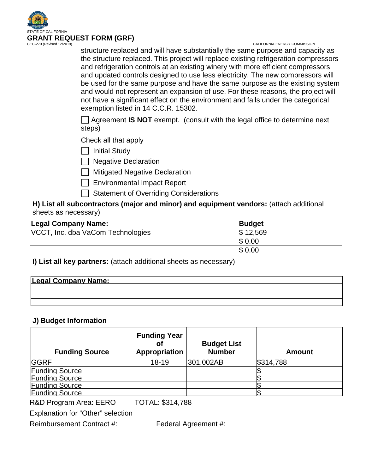

#### CALIFORNIA ENERGY COMMISSION

structure replaced and will have substantially the same purpose and capacity as the structure replaced. This project will replace existing refrigeration compressors and refrigeration controls at an existing winery with more efficient compressors and updated controls designed to use less electricity. The new compressors will be used for the same purpose and have the same purpose as the existing system and would not represent an expansion of use. For these reasons, the project will not have a significant effect on the environment and falls under the categorical exemption listed in 14 C.C.R. 15302.

Agreement **IS NOT** exempt. (consult with the legal office to determine next steps)

Check all that apply

| | Initial Study

 $\Box$  Negative Declaration

**Nitigated Negative Declaration** 

Environmental Impact Report

Statement of Overriding Considerations

**H) List all subcontractors (major and minor) and equipment vendors:** (attach additional sheets as necessary)

| Legal Company Name:               | <b>Budget</b> |  |
|-----------------------------------|---------------|--|
| VCCT, Inc. dba VaCom Technologies | \$12,569      |  |
|                                   | \$0.00        |  |
|                                   | \$0.00        |  |

**I) List all key partners:** (attach additional sheets as necessary)

| <b>Legal Company Name:</b> |  |  |
|----------------------------|--|--|
|                            |  |  |
|                            |  |  |
|                            |  |  |

## **J) Budget Information**

| <b>Funding Source</b> | <b>Funding Year</b><br>Οt<br>Appropriation | <b>Budget List</b><br><b>Number</b> | <b>Amount</b> |
|-----------------------|--------------------------------------------|-------------------------------------|---------------|
| <b>GGRF</b>           | $18 - 19$                                  | 301.002AB                           | \$314,788     |
| <b>Funding Source</b> |                                            |                                     |               |
| <b>Funding Source</b> |                                            |                                     |               |
| <b>Funding Source</b> |                                            |                                     |               |
| <b>Funding Source</b> |                                            |                                     |               |

R&D Program Area: EERO TOTAL: \$314,788

Explanation for "Other" selection

Reimbursement Contract #: Federal Agreement #: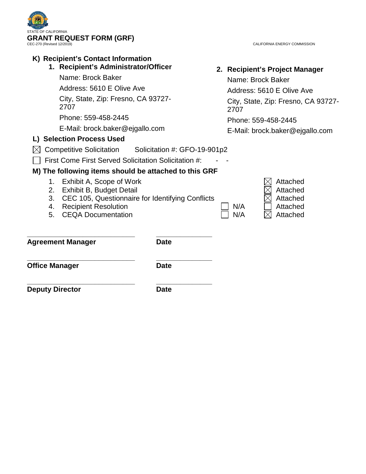

| CALIFORNIA ENERGY COMMISSION |  |
|------------------------------|--|
|------------------------------|--|

| K) Recipient's Contact Information<br>1. Recipient's Administrator/Officer<br>Name: Brock Baker<br>Address: 5610 E Olive Ave<br>City, State, Zip: Fresno, CA 93727-<br>2707<br>Phone: 559-458-2445                                                                                                                                                                                     |             |  | 2. Recipient's Project Manager<br>Name: Brock Baker<br>Address: 5610 E Olive Ave<br>City, State, Zip: Fresno, CA 93727-<br>2707<br>Phone: 559-458-2445 |                                                          |  |
|----------------------------------------------------------------------------------------------------------------------------------------------------------------------------------------------------------------------------------------------------------------------------------------------------------------------------------------------------------------------------------------|-------------|--|--------------------------------------------------------------------------------------------------------------------------------------------------------|----------------------------------------------------------|--|
| E-Mail: brock.baker@ejgallo.com                                                                                                                                                                                                                                                                                                                                                        |             |  |                                                                                                                                                        | E-Mail: brock.baker@ejgallo.com                          |  |
| L) Selection Process Used                                                                                                                                                                                                                                                                                                                                                              |             |  |                                                                                                                                                        |                                                          |  |
| <b>Competitive Solicitation</b><br>Solicitation #: GFO-19-901p2<br>First Come First Served Solicitation Solicitation #:<br>M) The following items should be attached to this GRF<br>Exhibit A, Scope of Work<br>1.<br>Exhibit B, Budget Detail<br>2.<br>CEC 105, Questionnaire for Identifying Conflicts<br>3.<br><b>Recipient Resolution</b><br>4.<br><b>CEQA Documentation</b><br>5. |             |  | N/A<br>N/A                                                                                                                                             | Attached<br>Attached<br>Attached<br>Attached<br>Attached |  |
| <b>Agreement Manager</b>                                                                                                                                                                                                                                                                                                                                                               | <b>Date</b> |  |                                                                                                                                                        |                                                          |  |
| <b>Office Manager</b>                                                                                                                                                                                                                                                                                                                                                                  | <b>Date</b> |  |                                                                                                                                                        |                                                          |  |
| <b>Deputy Director</b>                                                                                                                                                                                                                                                                                                                                                                 | <b>Date</b> |  |                                                                                                                                                        |                                                          |  |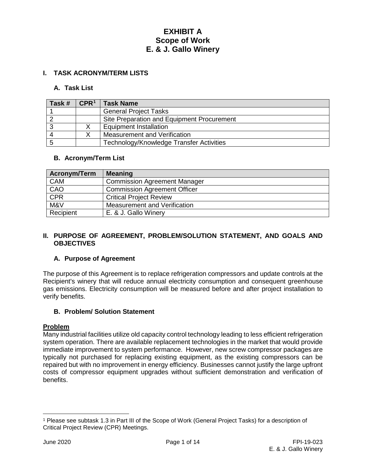## **I. TASK ACRONYM/TERM LISTS**

#### **A. Task List**

| Task # | $\mathsf{CPR}^1$ | <b>Task Name</b>                           |
|--------|------------------|--------------------------------------------|
|        |                  | <b>General Project Tasks</b>               |
|        |                  | Site Preparation and Equipment Procurement |
|        |                  | <b>Equipment Installation</b>              |
|        |                  | Measurement and Verification               |
|        |                  | Technology/Knowledge Transfer Activities   |

### **B. Acronym/Term List**

| Acronym/Term | <b>Meaning</b>                      |
|--------------|-------------------------------------|
| CAM          | <b>Commission Agreement Manager</b> |
| CAO          | <b>Commission Agreement Officer</b> |
| CFR          | <b>Critical Project Review</b>      |
| M&V          | Measurement and Verification        |
| Recipient    | E. & J. Gallo Winery                |

#### **II. PURPOSE OF AGREEMENT, PROBLEM/SOLUTION STATEMENT, AND GOALS AND OBJECTIVES**

## **A. Purpose of Agreement**

The purpose of this Agreement is to replace refrigeration compressors and update controls at the Recipient's winery that will reduce annual electricity consumption and consequent greenhouse gas emissions. Electricity consumption will be measured before and after project installation to verify benefits.

#### **B. Problem/ Solution Statement**

#### **Problem**

Many industrial facilities utilize old capacity control technology leading to less efficient refrigeration system operation. There are available replacement technologies in the market that would provide immediate improvement to system performance. However, new screw compressor packages are typically not purchased for replacing existing equipment, as the existing compressors can be repaired but with no improvement in energy efficiency. Businesses cannot justify the large upfront costs of compressor equipment upgrades without sufficient demonstration and verification of benefits.

 $\overline{a}$ 

<span id="page-3-0"></span><sup>1</sup> Please see subtask 1.3 in Part III of the Scope of Work (General Project Tasks) for a description of Critical Project Review (CPR) Meetings.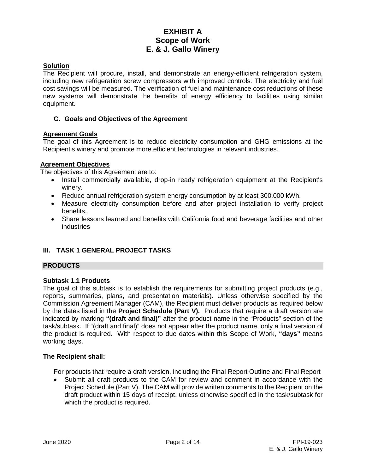## **Solution**

The Recipient will procure, install, and demonstrate an energy-efficient refrigeration system, including new refrigeration screw compressors with improved controls. The electricity and fuel cost savings will be measured. The verification of fuel and maintenance cost reductions of these new systems will demonstrate the benefits of energy efficiency to facilities using similar equipment.

## **C. Goals and Objectives of the Agreement**

## **Agreement Goals**

The goal of this Agreement is to reduce electricity consumption and GHG emissions at the Recipient's winery and promote more efficient technologies in relevant industries.

## **Agreement Objectives**

The objectives of this Agreement are to:

- Install commercially available, drop-in ready refrigeration equipment at the Recipient's winery.
- Reduce annual refrigeration system energy consumption by at least 300,000 kWh.
- Measure electricity consumption before and after project installation to verify project benefits.
- Share lessons learned and benefits with California food and beverage facilities and other **industries**

## **III. TASK 1 GENERAL PROJECT TASKS**

## **PRODUCTS**

## **Subtask 1.1 Products**

The goal of this subtask is to establish the requirements for submitting project products (e.g., reports, summaries, plans, and presentation materials). Unless otherwise specified by the Commission Agreement Manager (CAM), the Recipient must deliver products as required below by the dates listed in the **Project Schedule (Part V).** Products that require a draft version are indicated by marking **"(draft and final)"** after the product name in the "Products" section of the task/subtask. If "(draft and final)" does not appear after the product name, only a final version of the product is required. With respect to due dates within this Scope of Work, **"days"** means working days.

#### **The Recipient shall:**

For products that require a draft version, including the Final Report Outline and Final Report

Submit all draft products to the CAM for review and comment in accordance with the Project Schedule (Part V). The CAM will provide written comments to the Recipient on the draft product within 15 days of receipt, unless otherwise specified in the task/subtask for which the product is required.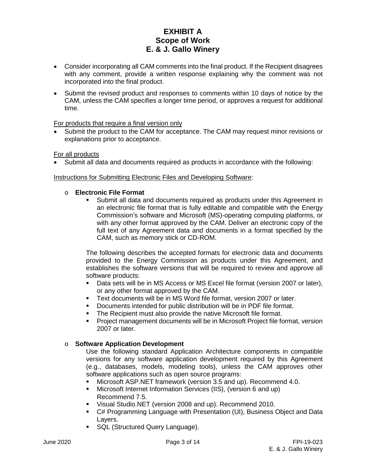- Consider incorporating all CAM comments into the final product. If the Recipient disagrees with any comment, provide a written response explaining why the comment was not incorporated into the final product.
- Submit the revised product and responses to comments within 10 days of notice by the CAM, unless the CAM specifies a longer time period, or approves a request for additional time.

For products that require a final version only

Submit the product to the CAM for acceptance. The CAM may request minor revisions or explanations prior to acceptance.

### For all products

• Submit all data and documents required as products in accordance with the following:

### Instructions for Submitting Electronic Files and Developing Software:

### o **Electronic File Format**

 Submit all data and documents required as products under this Agreement in an electronic file format that is fully editable and compatible with the Energy Commission's software and Microsoft (MS)-operating computing platforms, or with any other format approved by the CAM. Deliver an electronic copy of the full text of any Agreement data and documents in a format specified by the CAM, such as memory stick or CD-ROM.

The following describes the accepted formats for electronic data and documents provided to the Energy Commission as products under this Agreement, and establishes the software versions that will be required to review and approve all software products:

- Data sets will be in MS Access or MS Excel file format (version 2007 or later), or any other format approved by the CAM.
- Text documents will be in MS Word file format, version 2007 or later.
- Documents intended for public distribution will be in PDF file format.
- **The Recipient must also provide the native Microsoft file format.**
- Project management documents will be in Microsoft Project file format, version 2007 or later.

#### o **Software Application Development**

Use the following standard Application Architecture components in compatible versions for any software application development required by this Agreement (e.g., databases, models, modeling tools), unless the CAM approves other software applications such as open source programs:

- Microsoft ASP.NET framework (version 3.5 and up). Recommend 4.0.
- Microsoft Internet Information Services (IIS), (version 6 and up) Recommend 7.5.
- Visual Studio.NET (version 2008 and up). Recommend 2010.
- C# Programming Language with Presentation (UI), Business Object and Data Layers.
- **SQL (Structured Query Language).**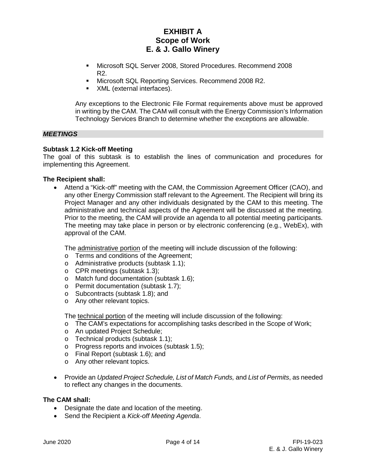- Microsoft SQL Server 2008, Stored Procedures. Recommend 2008 R2.
- **Microsoft SQL Reporting Services. Recommend 2008 R2.**
- XML (external interfaces).

Any exceptions to the Electronic File Format requirements above must be approved in writing by the CAM. The CAM will consult with the Energy Commission's Information Technology Services Branch to determine whether the exceptions are allowable.

### *MEETINGS*

#### **Subtask 1.2 Kick-off Meeting**

The goal of this subtask is to establish the lines of communication and procedures for implementing this Agreement.

#### **The Recipient shall:**

• Attend a "Kick-off" meeting with the CAM, the Commission Agreement Officer (CAO), and any other Energy Commission staff relevant to the Agreement. The Recipient will bring its Project Manager and any other individuals designated by the CAM to this meeting. The administrative and technical aspects of the Agreement will be discussed at the meeting. Prior to the meeting, the CAM will provide an agenda to all potential meeting participants. The meeting may take place in person or by electronic conferencing (e.g., WebEx), with approval of the CAM.

The administrative portion of the meeting will include discussion of the following:

- o Terms and conditions of the Agreement;
- o Administrative products (subtask 1.1);
- o CPR meetings (subtask 1.3);
- o Match fund documentation (subtask 1.6);
- o Permit documentation (subtask 1.7);
- o Subcontracts (subtask 1.8); and
- o Any other relevant topics.

The technical portion of the meeting will include discussion of the following:

- o The CAM's expectations for accomplishing tasks described in the Scope of Work;
- o An updated Project Schedule;
- o Technical products (subtask 1.1);
- o Progress reports and invoices (subtask 1.5);
- o Final Report (subtask 1.6); and
- o Any other relevant topics.
- Provide an *Updated Project Schedule, List of Match Funds,* and *List of Permits*, as needed to reflect any changes in the documents.

#### **The CAM shall:**

- Designate the date and location of the meeting.
- Send the Recipient a *Kick-off Meeting Agenda*.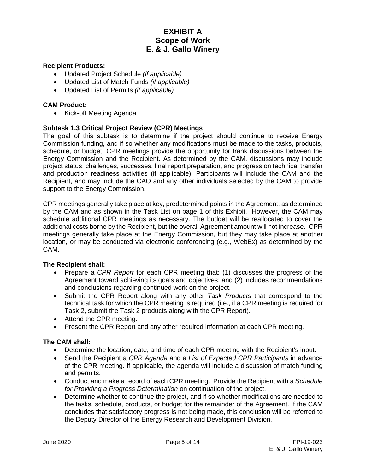### **Recipient Products:**

- Updated Project Schedule *(if applicable)*
- Updated List of Match Funds *(if applicable)*
- Updated List of Permits *(if applicable)*

### **CAM Product:**

• Kick-off Meeting Agenda

### **Subtask 1.3 Critical Project Review (CPR) Meetings**

The goal of this subtask is to determine if the project should continue to receive Energy Commission funding, and if so whether any modifications must be made to the tasks, products, schedule, or budget. CPR meetings provide the opportunity for frank discussions between the Energy Commission and the Recipient. As determined by the CAM, discussions may include project status, challenges, successes, final report preparation, and progress on technical transfer and production readiness activities (if applicable). Participants will include the CAM and the Recipient, and may include the CAO and any other individuals selected by the CAM to provide support to the Energy Commission.

CPR meetings generally take place at key, predetermined points in the Agreement, as determined by the CAM and as shown in the Task List on page 1 of this Exhibit. However, the CAM may schedule additional CPR meetings as necessary. The budget will be reallocated to cover the additional costs borne by the Recipient, but the overall Agreement amount will not increase. CPR meetings generally take place at the Energy Commission, but they may take place at another location, or may be conducted via electronic conferencing (e.g., WebEx) as determined by the CAM.

#### **The Recipient shall:**

- Prepare a *CPR Report* for each CPR meeting that: (1) discusses the progress of the Agreement toward achieving its goals and objectives; and (2) includes recommendations and conclusions regarding continued work on the project.
- Submit the CPR Report along with any other *Task Products* that correspond to the technical task for which the CPR meeting is required (i.e., if a CPR meeting is required for Task 2, submit the Task 2 products along with the CPR Report).
- Attend the CPR meeting.
- Present the CPR Report and any other required information at each CPR meeting.

#### **The CAM shall:**

- Determine the location, date, and time of each CPR meeting with the Recipient's input.
- Send the Recipient a *CPR Agenda* and a *List of Expected CPR Participants* in advance of the CPR meeting. If applicable, the agenda will include a discussion of match funding and permits.
- Conduct and make a record of each CPR meeting. Provide the Recipient with a *Schedule for Providing a Progress Determination* on continuation of the project.
- Determine whether to continue the project, and if so whether modifications are needed to the tasks, schedule, products, or budget for the remainder of the Agreement. If the CAM concludes that satisfactory progress is not being made, this conclusion will be referred to the Deputy Director of the Energy Research and Development Division.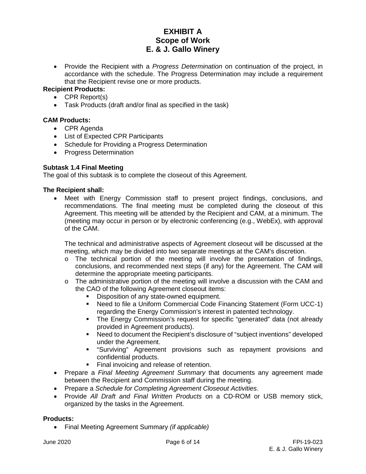• Provide the Recipient with a *Progress Determination* on continuation of the project, in accordance with the schedule. The Progress Determination may include a requirement that the Recipient revise one or more products.

## **Recipient Products:**

- CPR Report(s)
- Task Products (draft and/or final as specified in the task)

## **CAM Products:**

- CPR Agenda
- List of Expected CPR Participants
- Schedule for Providing a Progress Determination
- Progress Determination

### **Subtask 1.4 Final Meeting**

The goal of this subtask is to complete the closeout of this Agreement.

### **The Recipient shall:**

• Meet with Energy Commission staff to present project findings, conclusions, and recommendations. The final meeting must be completed during the closeout of this Agreement. This meeting will be attended by the Recipient and CAM, at a minimum. The (meeting may occur in person or by electronic conferencing (e.g., WebEx), with approval of the CAM.

The technical and administrative aspects of Agreement closeout will be discussed at the meeting, which may be divided into two separate meetings at the CAM's discretion.

- $\circ$  The technical portion of the meeting will involve the presentation of findings, conclusions, and recommended next steps (if any) for the Agreement. The CAM will determine the appropriate meeting participants.
- $\circ$  The administrative portion of the meeting will involve a discussion with the CAM and the CAO of the following Agreement closeout items:
	- Disposition of any state-owned equipment.
	- Need to file a Uniform Commercial Code Financing Statement (Form UCC-1) regarding the Energy Commission's interest in patented technology.
	- The Energy Commission's request for specific "generated" data (not already provided in Agreement products).
	- Need to document the Recipient's disclosure of "subject inventions" developed under the Agreement.
	- "Surviving" Agreement provisions such as repayment provisions and confidential products.
	- Final invoicing and release of retention.
- Prepare a *Final Meeting Agreement Summary* that documents any agreement made between the Recipient and Commission staff during the meeting.
- Prepare a *Schedule for Completing Agreement Closeout Activities*.
- Provide *All Draft and Final Written Products* on a CD-ROM or USB memory stick, organized by the tasks in the Agreement.

#### **Products:**

• Final Meeting Agreement Summary *(if applicable)*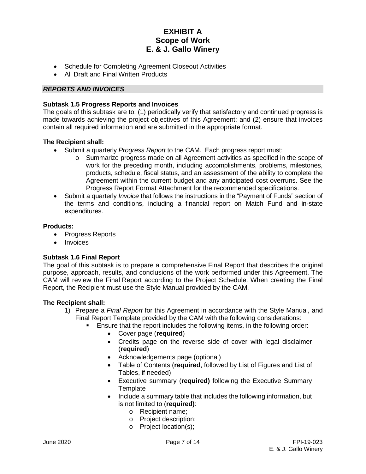- Schedule for Completing Agreement Closeout Activities
- All Draft and Final Written Products

## *REPORTS AND INVOICES*

### **Subtask 1.5 Progress Reports and Invoices**

The goals of this subtask are to: (1) periodically verify that satisfactory and continued progress is made towards achieving the project objectives of this Agreement; and (2) ensure that invoices contain all required information and are submitted in the appropriate format.

### **The Recipient shall:**

- Submit a quarterly *Progress Report* to the CAM. Each progress report must:
	- o Summarize progress made on all Agreement activities as specified in the scope of work for the preceding month, including accomplishments, problems, milestones, products, schedule, fiscal status, and an assessment of the ability to complete the Agreement within the current budget and any anticipated cost overruns. See the Progress Report Format Attachment for the recommended specifications.
- Submit a quarterly *Invoice* that follows the instructions in the "Payment of Funds" section of the terms and conditions, including a financial report on Match Fund and in-state expenditures.

### **Products:**

- Progress Reports
- Invoices

## **Subtask 1.6 Final Report**

The goal of this subtask is to prepare a comprehensive Final Report that describes the original purpose, approach, results, and conclusions of the work performed under this Agreement. The CAM will review the Final Report according to the Project Schedule. When creating the Final Report, the Recipient must use the Style Manual provided by the CAM.

#### **The Recipient shall:**

- 1) Prepare a *Final Report* for this Agreement in accordance with the Style Manual, and Final Report Template provided by the CAM with the following considerations:
	- Ensure that the report includes the following items, in the following order:
		- Cover page (**required**)
		- Credits page on the reverse side of cover with legal disclaimer (**required**)
		- Acknowledgements page (optional)
		- Table of Contents (**required**, followed by List of Figures and List of Tables, if needed)
		- Executive summary (**required)** following the Executive Summary **Template**
		- Include a summary table that includes the following information, but is not limited to (**required)**:
			- o Recipient name;
			- o Project description;
			- o Project location(s);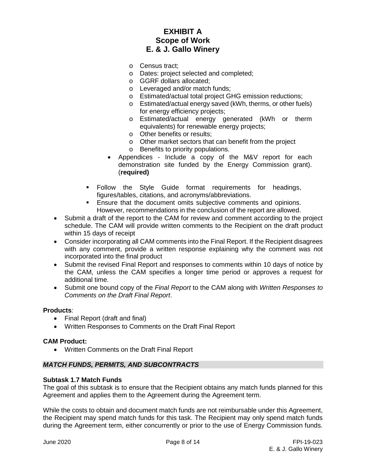- o Census tract;
- o Dates: project selected and completed;
- o GGRF dollars allocated;
- o Leveraged and/or match funds;
- o Estimated/actual total project GHG emission reductions;
- o Estimated/actual energy saved (kWh, therms, or other fuels) for energy efficiency projects;
- o Estimated/actual energy generated (kWh or therm equivalents) for renewable energy projects;
- o Other benefits or results;
- o Other market sectors that can benefit from the project o Benefits to priority populations.
- Appendices Include a copy of the M&V report for each demonstration site funded by the Energy Commission grant). (**required)**
- Follow the Style Guide format requirements for headings, figures/tables, citations, and acronyms/abbreviations.
- **Ensure that the document omits subjective comments and opinions.** However, recommendations in the conclusion of the report are allowed.
- Submit a draft of the report to the CAM for review and comment according to the project schedule. The CAM will provide written comments to the Recipient on the draft product within 15 days of receipt
- Consider incorporating all CAM comments into the Final Report. If the Recipient disagrees with any comment, provide a written response explaining why the comment was not incorporated into the final product
- Submit the revised Final Report and responses to comments within 10 days of notice by the CAM, unless the CAM specifies a longer time period or approves a request for additional time.
- Submit one bound copy of the *Final Report* to the CAM along with *Written Responses to Comments on the Draft Final Report*.

## **Products**:

- Final Report (draft and final)
- Written Responses to Comments on the Draft Final Report

#### **CAM Product:**

• Written Comments on the Draft Final Report

#### *MATCH FUNDS, PERMITS, AND SUBCONTRACTS*

#### **Subtask 1.7 Match Funds**

The goal of this subtask is to ensure that the Recipient obtains any match funds planned for this Agreement and applies them to the Agreement during the Agreement term.

While the costs to obtain and document match funds are not reimbursable under this Agreement, the Recipient may spend match funds for this task. The Recipient may only spend match funds during the Agreement term, either concurrently or prior to the use of Energy Commission funds.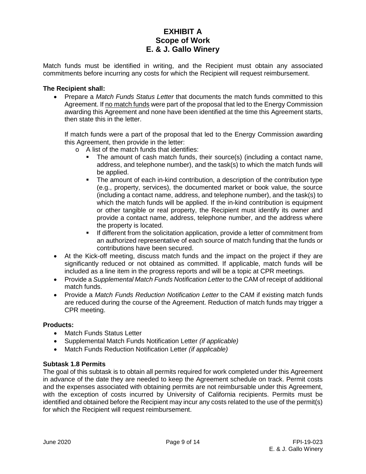Match funds must be identified in writing, and the Recipient must obtain any associated commitments before incurring any costs for which the Recipient will request reimbursement.

#### **The Recipient shall:**

• Prepare a *Match Funds Status Letter* that documents the match funds committed to this Agreement. If no match funds were part of the proposal that led to the Energy Commission awarding this Agreement and none have been identified at the time this Agreement starts, then state this in the letter.

If match funds were a part of the proposal that led to the Energy Commission awarding this Agreement, then provide in the letter:

- o A list of the match funds that identifies:
	- The amount of cash match funds, their source(s) (including a contact name, address, and telephone number), and the task(s) to which the match funds will be applied.
	- The amount of each in-kind contribution, a description of the contribution type (e.g., property, services), the documented market or book value, the source (including a contact name, address, and telephone number), and the task(s) to which the match funds will be applied. If the in-kind contribution is equipment or other tangible or real property, the Recipient must identify its owner and provide a contact name, address, telephone number, and the address where the property is located.
	- **If different from the solicitation application, provide a letter of commitment from** an authorized representative of each source of match funding that the funds or contributions have been secured.
- At the Kick-off meeting, discuss match funds and the impact on the project if they are significantly reduced or not obtained as committed. If applicable, match funds will be included as a line item in the progress reports and will be a topic at CPR meetings.
- Provide a *Supplemental Match Funds Notification Letter* to the CAM of receipt of additional match funds.
- Provide a *Match Funds Reduction Notification Letter* to the CAM if existing match funds are reduced during the course of the Agreement. Reduction of match funds may trigger a CPR meeting.

#### **Products:**

- Match Funds Status Letter
- Supplemental Match Funds Notification Letter *(if applicable)*
- Match Funds Reduction Notification Letter *(if applicable)*

#### **Subtask 1.8 Permits**

The goal of this subtask is to obtain all permits required for work completed under this Agreement in advance of the date they are needed to keep the Agreement schedule on track. Permit costs and the expenses associated with obtaining permits are not reimbursable under this Agreement, with the exception of costs incurred by University of California recipients. Permits must be identified and obtained before the Recipient may incur any costs related to the use of the permit(s) for which the Recipient will request reimbursement.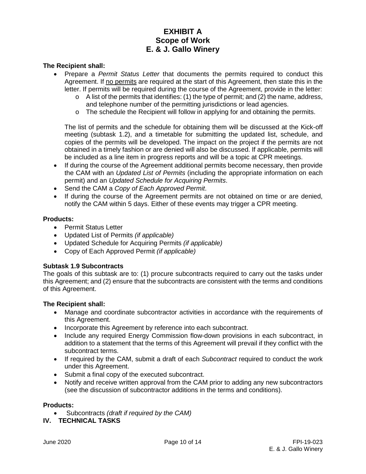### **The Recipient shall:**

- Prepare a *Permit Status Letter* that documents the permits required to conduct this Agreement. If no permits are required at the start of this Agreement, then state this in the letter. If permits will be required during the course of the Agreement, provide in the letter:
	- $\circ$  A list of the permits that identifies: (1) the type of permit; and (2) the name, address, and telephone number of the permitting jurisdictions or lead agencies.
	- $\circ$  The schedule the Recipient will follow in applying for and obtaining the permits.

The list of permits and the schedule for obtaining them will be discussed at the Kick-off meeting (subtask 1.2), and a timetable for submitting the updated list, schedule, and copies of the permits will be developed. The impact on the project if the permits are not obtained in a timely fashion or are denied will also be discussed. If applicable, permits will be included as a line item in progress reports and will be a topic at CPR meetings.

- If during the course of the Agreement additional permits become necessary, then provide the CAM with an *Updated List of Permits* (including the appropriate information on each permit) and an *Updated Schedule for Acquiring Permits*.
- Send the CAM a *Copy of Each Approved Permit*.
- If during the course of the Agreement permits are not obtained on time or are denied, notify the CAM within 5 days. Either of these events may trigger a CPR meeting.

#### **Products:**

- Permit Status Letter
- Updated List of Permits *(if applicable)*
- Updated Schedule for Acquiring Permits *(if applicable)*
- Copy of Each Approved Permit *(if applicable)*

## **Subtask 1.9 Subcontracts**

The goals of this subtask are to: (1) procure subcontracts required to carry out the tasks under this Agreement; and (2) ensure that the subcontracts are consistent with the terms and conditions of this Agreement.

#### **The Recipient shall:**

- Manage and coordinate subcontractor activities in accordance with the requirements of this Agreement.
- Incorporate this Agreement by reference into each subcontract.
- Include any required Energy Commission flow-down provisions in each subcontract, in addition to a statement that the terms of this Agreement will prevail if they conflict with the subcontract terms.
- If required by the CAM, submit a draft of each *Subcontract* required to conduct the work under this Agreement.
- Submit a final copy of the executed subcontract.
- Notify and receive written approval from the CAM prior to adding any new subcontractors (see the discussion of subcontractor additions in the terms and conditions).

#### **Products:**

• Subcontracts *(draft if required by the CAM)*

**IV. TECHNICAL TASKS**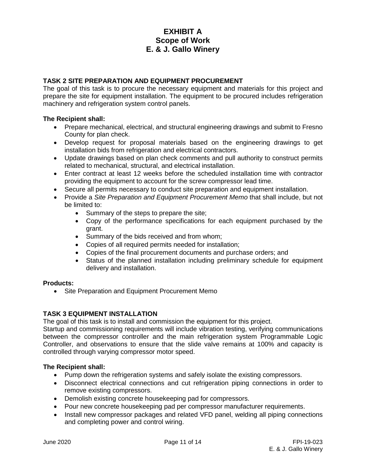## **TASK 2 SITE PREPARATION AND EQUIPMENT PROCUREMENT**

The goal of this task is to procure the necessary equipment and materials for this project and prepare the site for equipment installation. The equipment to be procured includes refrigeration machinery and refrigeration system control panels.

### **The Recipient shall:**

- Prepare mechanical, electrical, and structural engineering drawings and submit to Fresno County for plan check.
- Develop request for proposal materials based on the engineering drawings to get installation bids from refrigeration and electrical contractors.
- Update drawings based on plan check comments and pull authority to construct permits related to mechanical, structural, and electrical installation.
- Enter contract at least 12 weeks before the scheduled installation time with contractor providing the equipment to account for the screw compressor lead time.
- Secure all permits necessary to conduct site preparation and equipment installation.
- Provide a *Site Preparation and Equipment Procurement Memo* that shall include, but not be limited to:
	- Summary of the steps to prepare the site;
	- Copy of the performance specifications for each equipment purchased by the grant.
	- Summary of the bids received and from whom;
	- Copies of all required permits needed for installation;
	- Copies of the final procurement documents and purchase orders; and
	- Status of the planned installation including preliminary schedule for equipment delivery and installation.

## **Products:**

• Site Preparation and Equipment Procurement Memo

## **TASK 3 EQUIPMENT INSTALLATION**

The goal of this task is to install and commission the equipment for this project.

Startup and commissioning requirements will include vibration testing, verifying communications between the compressor controller and the main refrigeration system Programmable Logic Controller, and observations to ensure that the slide valve remains at 100% and capacity is controlled through varying compressor motor speed.

## **The Recipient shall:**

- Pump down the refrigeration systems and safely isolate the existing compressors.
- Disconnect electrical connections and cut refrigeration piping connections in order to remove existing compressors.
- Demolish existing concrete housekeeping pad for compressors.
- Pour new concrete housekeeping pad per compressor manufacturer requirements.
- Install new compressor packages and related VFD panel, welding all piping connections and completing power and control wiring.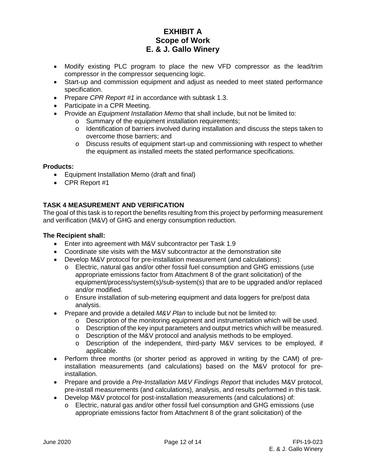- Modify existing PLC program to place the new VFD compressor as the lead/trim compressor in the compressor sequencing logic.
- Start-up and commission equipment and adjust as needed to meet stated performance specification.
- Prepare *CPR Report #1* in accordance with subtask 1.3.
- Participate in a CPR Meeting.
- Provide an *Equipment Installation Memo* that shall include, but not be limited to:
	- o Summary of the equipment installation requirements;
	- $\circ$  Identification of barriers involved during installation and discuss the steps taken to overcome those barriers; and
	- o Discuss results of equipment start-up and commissioning with respect to whether the equipment as installed meets the stated performance specifications.

### **Products:**

- Equipment Installation Memo (draft and final)
- CPR Report #1

## **TASK 4 MEASUREMENT AND VERIFICATION**

The goal of this task is to report the benefits resulting from this project by performing measurement and verification (M&V) of GHG and energy consumption reduction.

### **The Recipient shall:**

- Enter into agreement with M&V subcontractor per Task 1.9
- Coordinate site visits with the M&V subcontractor at the demonstration site
- Develop M&V protocol for pre-installation measurement (and calculations):
	- o Electric, natural gas and/or other fossil fuel consumption and GHG emissions (use appropriate emissions factor from Attachment 8 of the grant solicitation) of the equipment/process/system(s)/sub-system(s) that are to be upgraded and/or replaced and/or modified.
	- o Ensure installation of sub-metering equipment and data loggers for pre/post data analysis.
- Prepare and provide a detailed *M&V Plan* to include but not be limited to:
	- $\circ$  Description of the monitoring equipment and instrumentation which will be used.
	- $\circ$  Description of the key input parameters and output metrics which will be measured.
	- o Description of the M&V protocol and analysis methods to be employed.
	- $\circ$  Description of the independent, third-party M&V services to be employed, if applicable.
- Perform three months (or shorter period as approved in writing by the CAM) of preinstallation measurements (and calculations) based on the M&V protocol for preinstallation.
- Prepare and provide a *Pre-Installation M&V Findings Report* that includes M&V protocol, pre-install measurements (and calculations), analysis, and results performed in this task.
- Develop M&V protocol for post-installation measurements (and calculations) of:
	- o Electric, natural gas and/or other fossil fuel consumption and GHG emissions (use appropriate emissions factor from Attachment 8 of the grant solicitation) of the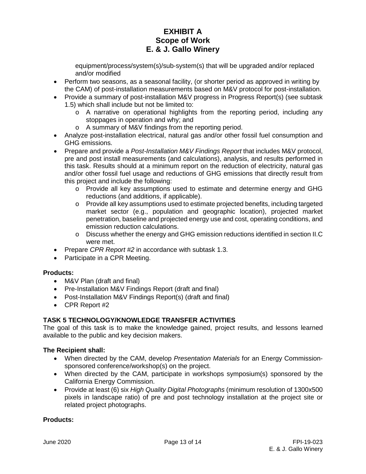equipment/process/system(s)/sub-system(s) that will be upgraded and/or replaced and/or modified

- Perform two seasons, as a seasonal facility, (or shorter period as approved in writing by the CAM) of post-installation measurements based on M&V protocol for post-installation.
- Provide a summary of post-installation M&V progress in Progress Report(s) (see subtask 1.5) which shall include but not be limited to:
	- o A narrative on operational highlights from the reporting period, including any stoppages in operation and why; and
	- o A summary of M&V findings from the reporting period.
- Analyze post-installation electrical, natural gas and/or other fossil fuel consumption and GHG emissions.
- Prepare and provide a *Post-Installation M&V Findings Report* that includes M&V protocol, pre and post install measurements (and calculations), analysis, and results performed in this task. Results should at a minimum report on the reduction of electricity, natural gas and/or other fossil fuel usage and reductions of GHG emissions that directly result from this project and include the following:
	- o Provide all key assumptions used to estimate and determine energy and GHG reductions (and additions, if applicable).
	- o Provide all key assumptions used to estimate projected benefits, including targeted market sector (e.g., population and geographic location), projected market penetration, baseline and projected energy use and cost, operating conditions, and emission reduction calculations.
	- o Discuss whether the energy and GHG emission reductions identified in section II.C were met.
- Prepare *CPR Report #2* in accordance with subtask 1.3.
- Participate in a CPR Meeting.

## **Products:**

- M&V Plan (draft and final)
- Pre-Installation M&V Findings Report (draft and final)
- Post-Installation M&V Findings Report(s) (draft and final)
- CPR Report #2

## **TASK 5 TECHNOLOGY/KNOWLEDGE TRANSFER ACTIVITIES**

The goal of this task is to make the knowledge gained, project results, and lessons learned available to the public and key decision makers.

## **The Recipient shall:**

- When directed by the CAM, develop *Presentation Materials* for an Energy Commissionsponsored conference/workshop(s) on the project.
- When directed by the CAM, participate in workshops symposium(s) sponsored by the California Energy Commission.
- Provide at least (6) six *High Quality Digital Photographs* (minimum resolution of 1300x500 pixels in landscape ratio) of pre and post technology installation at the project site or related project photographs.

## **Products:**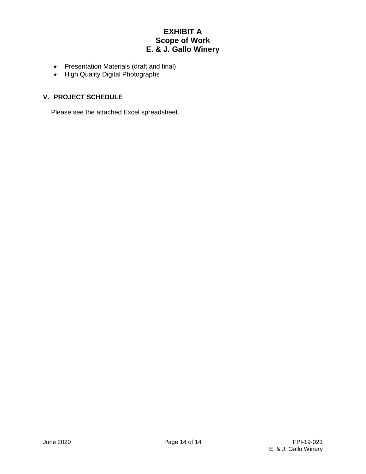- Presentation Materials (draft and final)
- High Quality Digital Photographs

## **V. PROJECT SCHEDULE**

Please see the attached Excel spreadsheet.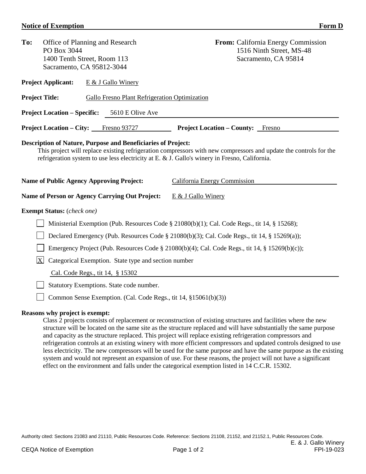## **Notice of Exemption** Form D

| To:<br>Office of Planning and Research<br>PO Box 3044<br>1400 Tenth Street, Room 113<br>Sacramento, CA 95812-3044 |                                                                                                                                                                                                                                                                                           |                                                                 | <b>From:</b> California Energy Commission<br>1516 Ninth Street, MS-48<br>Sacramento, CA 95814        |  |  |  |  |  |
|-------------------------------------------------------------------------------------------------------------------|-------------------------------------------------------------------------------------------------------------------------------------------------------------------------------------------------------------------------------------------------------------------------------------------|-----------------------------------------------------------------|------------------------------------------------------------------------------------------------------|--|--|--|--|--|
|                                                                                                                   | <b>Project Applicant:</b><br>E & J Gallo Winery                                                                                                                                                                                                                                           |                                                                 |                                                                                                      |  |  |  |  |  |
|                                                                                                                   | <b>Project Title:</b><br>Gallo Fresno Plant Refrigeration Optimization                                                                                                                                                                                                                    |                                                                 |                                                                                                      |  |  |  |  |  |
|                                                                                                                   | <b>Project Location – Specific:</b>                                                                                                                                                                                                                                                       | 5610 E Olive Ave                                                |                                                                                                      |  |  |  |  |  |
|                                                                                                                   | <b>Project Location – City:</b>                                                                                                                                                                                                                                                           | Fresno 93727                                                    | <b>Project Location – County:</b> Fresno                                                             |  |  |  |  |  |
|                                                                                                                   | <b>Description of Nature, Purpose and Beneficiaries of Project:</b><br>This project will replace existing refrigeration compressors with new compressors and update the controls for the<br>refrigeration system to use less electricity at E. & J. Gallo's winery in Fresno, California. |                                                                 |                                                                                                      |  |  |  |  |  |
|                                                                                                                   |                                                                                                                                                                                                                                                                                           | <b>Name of Public Agency Approving Project:</b>                 | California Energy Commission                                                                         |  |  |  |  |  |
|                                                                                                                   |                                                                                                                                                                                                                                                                                           | Name of Person or Agency Carrying Out Project:                  | E & J Gallo Winery                                                                                   |  |  |  |  |  |
|                                                                                                                   | <b>Exempt Status:</b> (check one)                                                                                                                                                                                                                                                         |                                                                 |                                                                                                      |  |  |  |  |  |
|                                                                                                                   |                                                                                                                                                                                                                                                                                           |                                                                 | Ministerial Exemption (Pub. Resources Code $\S 21080(b)(1)$ ; Cal. Code Regs., tit 14, $\S 15268$ ); |  |  |  |  |  |
|                                                                                                                   |                                                                                                                                                                                                                                                                                           |                                                                 | Declared Emergency (Pub. Resources Code § 21080(b)(3); Cal. Code Regs., tit 14, § 15269(a));         |  |  |  |  |  |
|                                                                                                                   |                                                                                                                                                                                                                                                                                           |                                                                 | Emergency Project (Pub. Resources Code § 21080(b)(4); Cal. Code Regs., tit 14, § 15269(b)(c));       |  |  |  |  |  |
|                                                                                                                   | $\mathbf{X}$<br>Categorical Exemption. State type and section number                                                                                                                                                                                                                      |                                                                 |                                                                                                      |  |  |  |  |  |
|                                                                                                                   | Cal. Code Regs., tit 14, § 15302                                                                                                                                                                                                                                                          |                                                                 |                                                                                                      |  |  |  |  |  |
|                                                                                                                   | Statutory Exemptions. State code number.                                                                                                                                                                                                                                                  |                                                                 |                                                                                                      |  |  |  |  |  |
|                                                                                                                   |                                                                                                                                                                                                                                                                                           | Common Sense Exemption. (Cal. Code Regs., tit 14, §15061(b)(3)) |                                                                                                      |  |  |  |  |  |
|                                                                                                                   | Reasons why project is exempt:                                                                                                                                                                                                                                                            |                                                                 |                                                                                                      |  |  |  |  |  |

Class 2 projects consists of replacement or reconstruction of existing structures and facilities where the new structure will be located on the same site as the structure replaced and will have substantially the same purpose and capacity as the structure replaced. This project will replace existing refrigeration compressors and refrigeration controls at an existing winery with more efficient compressors and updated controls designed to use less electricity. The new compressors will be used for the same purpose and have the same purpose as the existing system and would not represent an expansion of use. For these reasons, the project will not have a significant

effect on the environment and falls under the categorical exemption listed in 14 C.C.R. 15302.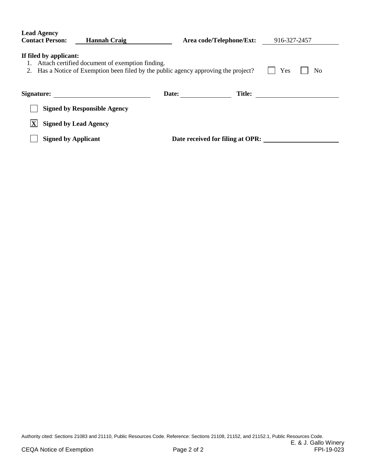| <b>Lead Agency</b><br><b>Contact Person:</b><br><b>Hannah Craig</b>                                                                                                                    |                                     | Area code/Telephone/Ext: |                                  | 916-327-2457 |  |  |
|----------------------------------------------------------------------------------------------------------------------------------------------------------------------------------------|-------------------------------------|--------------------------|----------------------------------|--------------|--|--|
| If filed by applicant:<br>Attach certified document of exemption finding.<br>1.<br>Has a Notice of Exemption been filed by the public agency approving the project?<br>Yes<br>No<br>2. |                                     |                          |                                  |              |  |  |
| Signature:                                                                                                                                                                             |                                     | Date:                    | <b>Title:</b>                    |              |  |  |
|                                                                                                                                                                                        | <b>Signed by Responsible Agency</b> |                          |                                  |              |  |  |
| <b>Signed by Lead Agency</b>                                                                                                                                                           |                                     |                          |                                  |              |  |  |
| <b>Signed by Applicant</b>                                                                                                                                                             |                                     |                          | Date received for filing at OPR: |              |  |  |